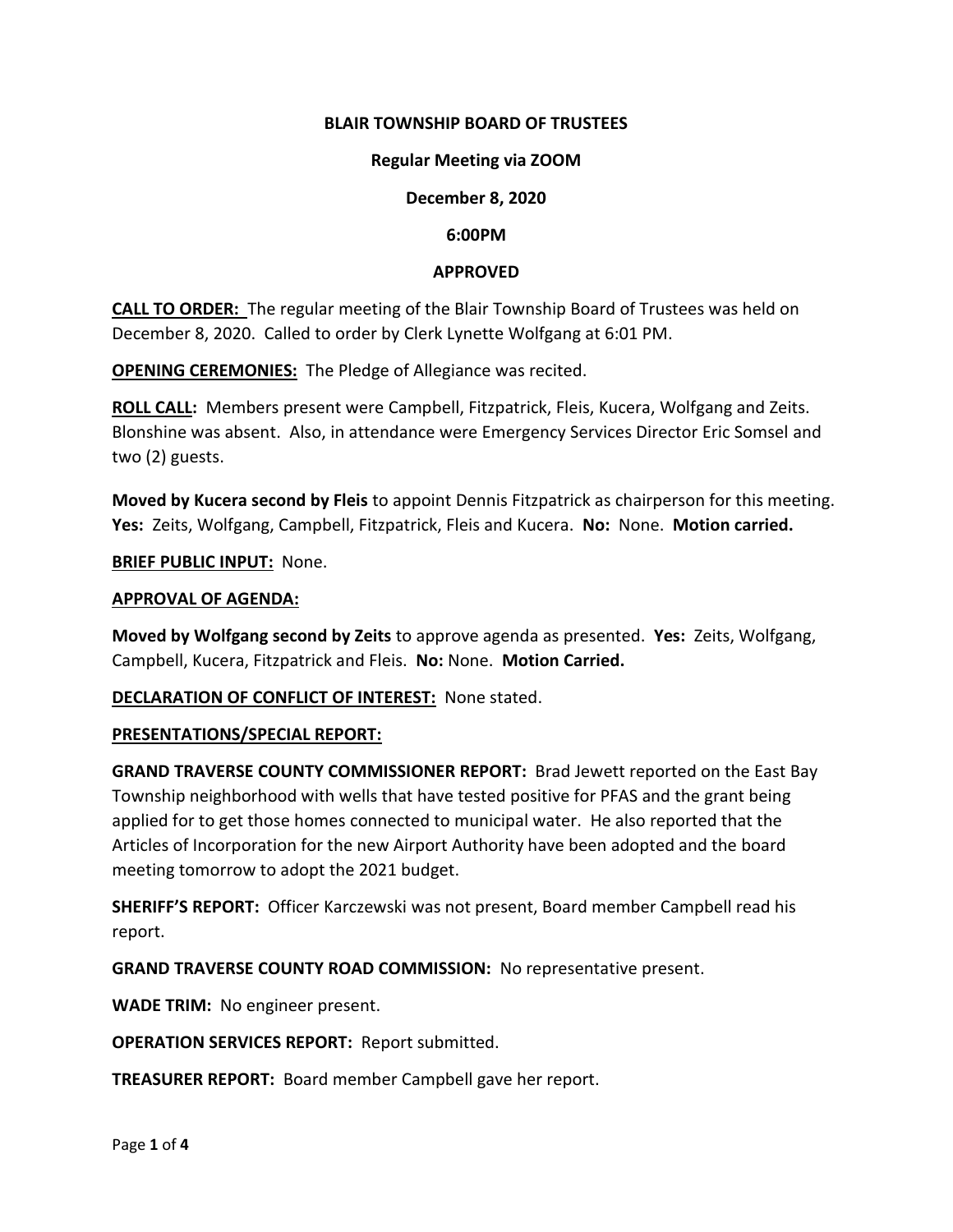# **BLAIR TOWNSHIP BOARD OF TRUSTEES**

## **Regular Meeting via ZOOM**

# **December 8, 2020**

## **6:00PM**

# **APPROVED**

**CALL TO ORDER:** The regular meeting of the Blair Township Board of Trustees was held on December 8, 2020. Called to order by Clerk Lynette Wolfgang at 6:01 PM.

**OPENING CEREMONIES:** The Pledge of Allegiance was recited.

**ROLL CALL:** Members present were Campbell, Fitzpatrick, Fleis, Kucera, Wolfgang and Zeits. Blonshine was absent. Also, in attendance were Emergency Services Director Eric Somsel and two (2) guests.

**Moved by Kucera second by Fleis** to appoint Dennis Fitzpatrick as chairperson for this meeting. **Yes:** Zeits, Wolfgang, Campbell, Fitzpatrick, Fleis and Kucera. **No:** None. **Motion carried.**

**BRIEF PUBLIC INPUT: None.** 

## **APPROVAL OF AGENDA:**

**Moved by Wolfgang second by Zeits** to approve agenda as presented. **Yes:** Zeits, Wolfgang, Campbell, Kucera, Fitzpatrick and Fleis. **No:** None. **Motion Carried.**

## **DECLARATION OF CONFLICT OF INTEREST:** None stated.

## **PRESENTATIONS/SPECIAL REPORT:**

**GRAND TRAVERSE COUNTY COMMISSIONER REPORT:** Brad Jewett reported on the East Bay Township neighborhood with wells that have tested positive for PFAS and the grant being applied for to get those homes connected to municipal water. He also reported that the Articles of Incorporation for the new Airport Authority have been adopted and the board meeting tomorrow to adopt the 2021 budget.

**SHERIFF'S REPORT:** Officer Karczewski was not present, Board member Campbell read his report.

**GRAND TRAVERSE COUNTY ROAD COMMISSION:** No representative present.

**WADE TRIM:** No engineer present.

**OPERATION SERVICES REPORT:** Report submitted.

**TREASURER REPORT:** Board member Campbell gave her report.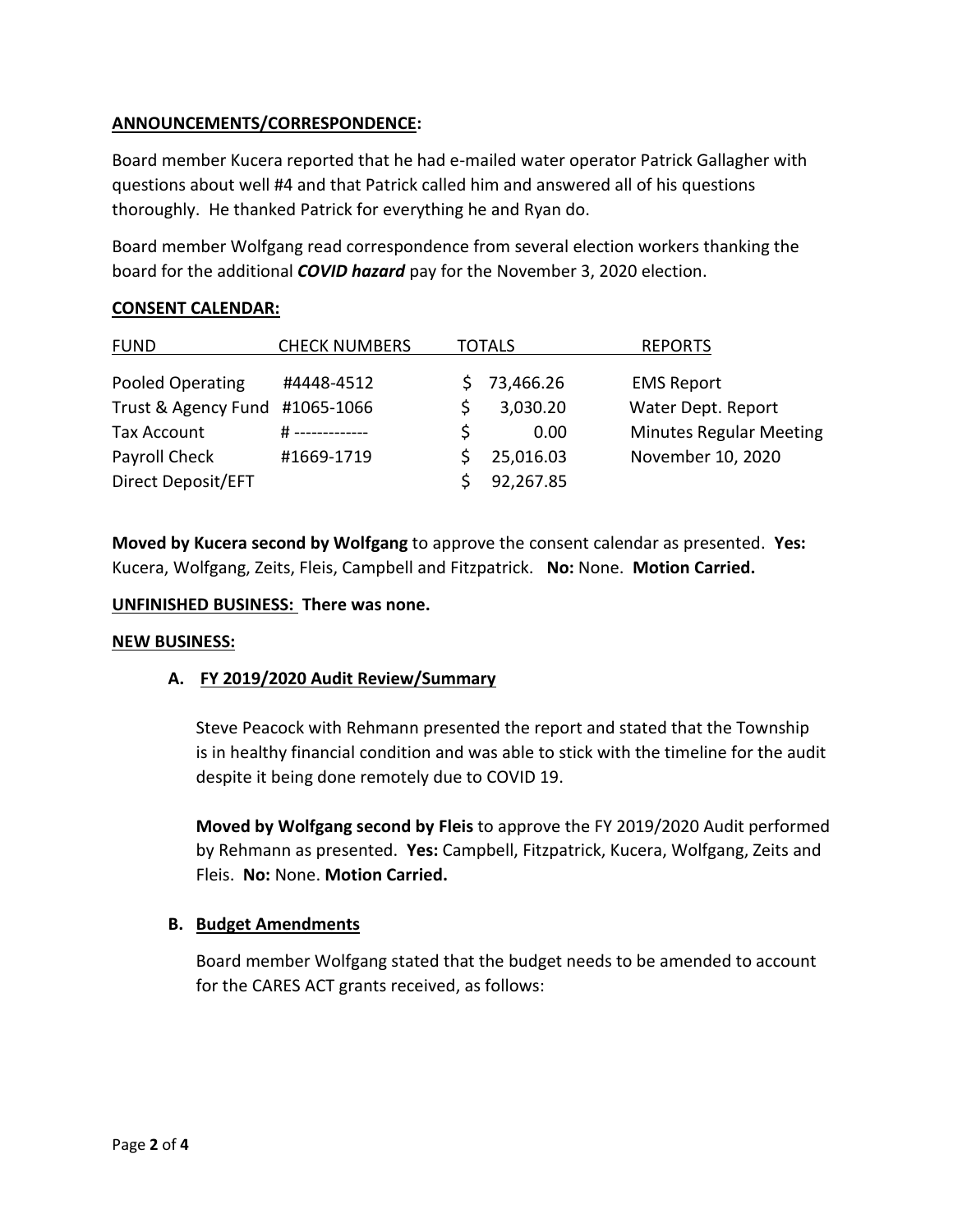# **ANNOUNCEMENTS/CORRESPONDENCE:**

Board member Kucera reported that he had e-mailed water operator Patrick Gallagher with questions about well #4 and that Patrick called him and answered all of his questions thoroughly. He thanked Patrick for everything he and Ryan do.

Board member Wolfgang read correspondence from several election workers thanking the board for the additional *COVID hazard* pay for the November 3, 2020 election.

# **CONSENT CALENDAR:**

| <b>FUND</b>                    | <b>CHECK NUMBERS</b> | TOTALS |           | <b>REPORTS</b>                 |
|--------------------------------|----------------------|--------|-----------|--------------------------------|
| Pooled Operating               | #4448-4512           |        | 73,466.26 | <b>EMS Report</b>              |
| Trust & Agency Fund #1065-1066 |                      |        | 3,030.20  | Water Dept. Report             |
| <b>Tax Account</b>             | # -------------      |        | 0.00      | <b>Minutes Regular Meeting</b> |
| Payroll Check                  | #1669-1719           |        | 25,016.03 | November 10, 2020              |
| Direct Deposit/EFT             |                      |        | 92,267.85 |                                |

**Moved by Kucera second by Wolfgang** to approve the consent calendar as presented. **Yes:**  Kucera, Wolfgang, Zeits, Fleis, Campbell and Fitzpatrick. **No:** None. **Motion Carried.**

# **UNFINISHED BUSINESS: There was none.**

## **NEW BUSINESS:**

# **A. FY 2019/2020 Audit Review/Summary**

Steve Peacock with Rehmann presented the report and stated that the Township is in healthy financial condition and was able to stick with the timeline for the audit despite it being done remotely due to COVID 19.

**Moved by Wolfgang second by Fleis** to approve the FY 2019/2020 Audit performed by Rehmann as presented. **Yes:** Campbell, Fitzpatrick, Kucera, Wolfgang, Zeits and Fleis. **No:** None. **Motion Carried.**

# **B. Budget Amendments**

Board member Wolfgang stated that the budget needs to be amended to account for the CARES ACT grants received, as follows: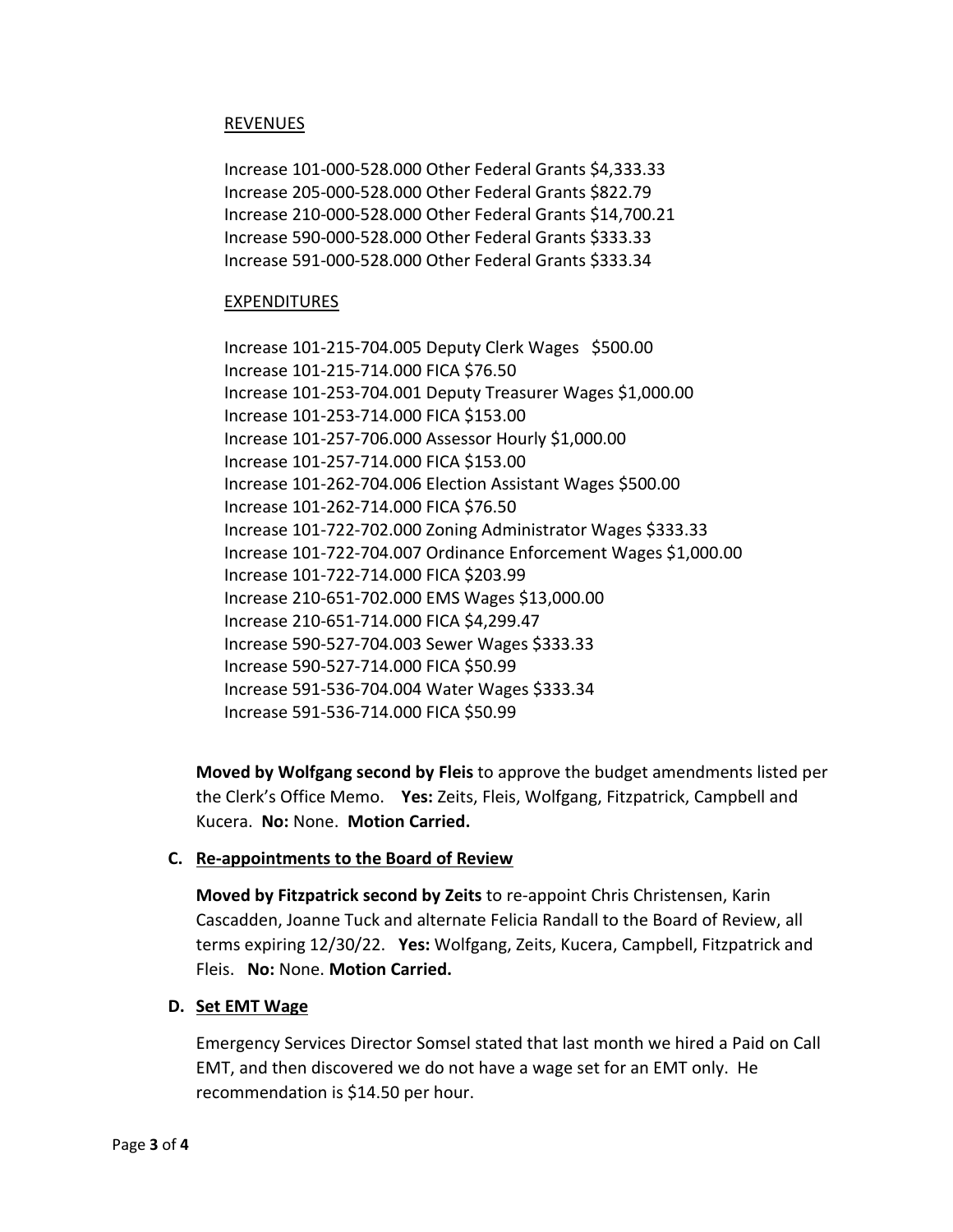# REVENUES

Increase 101-000-528.000 Other Federal Grants \$4,333.33 Increase 205-000-528.000 Other Federal Grants \$822.79 Increase 210-000-528.000 Other Federal Grants \$14,700.21 Increase 590-000-528.000 Other Federal Grants \$333.33 Increase 591-000-528.000 Other Federal Grants \$333.34

## EXPENDITURES

Increase 101-215-704.005 Deputy Clerk Wages \$500.00 Increase 101-215-714.000 FICA \$76.50 Increase 101-253-704.001 Deputy Treasurer Wages \$1,000.00 Increase 101-253-714.000 FICA \$153.00 Increase 101-257-706.000 Assessor Hourly \$1,000.00 Increase 101-257-714.000 FICA \$153.00 Increase 101-262-704.006 Election Assistant Wages \$500.00 Increase 101-262-714.000 FICA \$76.50 Increase 101-722-702.000 Zoning Administrator Wages \$333.33 Increase 101-722-704.007 Ordinance Enforcement Wages \$1,000.00 Increase 101-722-714.000 FICA \$203.99 Increase 210-651-702.000 EMS Wages \$13,000.00 Increase 210-651-714.000 FICA \$4,299.47 Increase 590-527-704.003 Sewer Wages \$333.33 Increase 590-527-714.000 FICA \$50.99 Increase 591-536-704.004 Water Wages \$333.34 Increase 591-536-714.000 FICA \$50.99

**Moved by Wolfgang second by Fleis** to approve the budget amendments listed per the Clerk's Office Memo. **Yes:** Zeits, Fleis, Wolfgang, Fitzpatrick, Campbell and Kucera. **No:** None. **Motion Carried.**

## **C. Re-appointments to the Board of Review**

**Moved by Fitzpatrick second by Zeits** to re-appoint Chris Christensen, Karin Cascadden, Joanne Tuck and alternate Felicia Randall to the Board of Review, all terms expiring 12/30/22. **Yes:** Wolfgang, Zeits, Kucera, Campbell, Fitzpatrick and Fleis. **No:** None. **Motion Carried.**

## **D. Set EMT Wage**

Emergency Services Director Somsel stated that last month we hired a Paid on Call EMT, and then discovered we do not have a wage set for an EMT only. He recommendation is \$14.50 per hour.